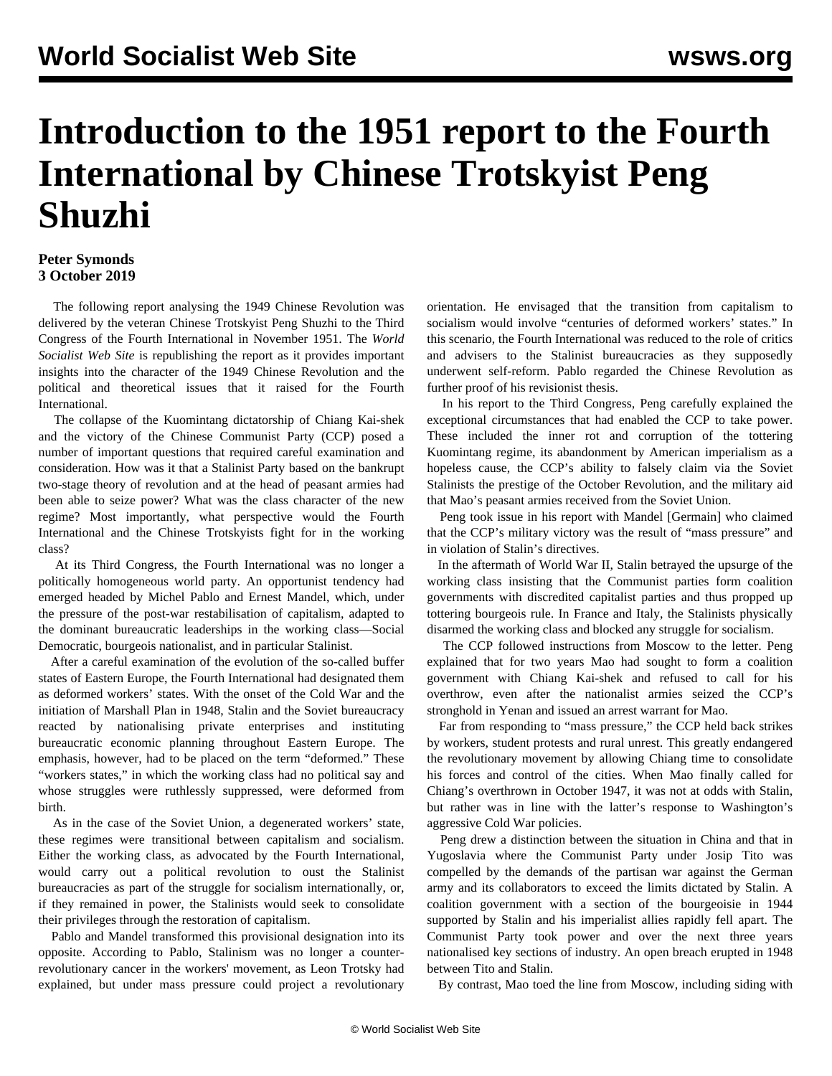## **Introduction to the 1951 report to the Fourth International by Chinese Trotskyist Peng Shuzhi**

## **Peter Symonds 3 October 2019**

 The following [report](/en/articles/2019/10/03/pen2-o03.html) analysing the 1949 Chinese Revolution was delivered by the veteran Chinese Trotskyist Peng Shuzhi to the Third Congress of the Fourth International in November 1951. The *World Socialist Web Site* is republishing the report as it provides important insights into the character of the 1949 Chinese Revolution and the political and theoretical issues that it raised for the Fourth International.

 The collapse of the Kuomintang dictatorship of Chiang Kai-shek and the victory of the Chinese Communist Party (CCP) posed a number of important questions that required careful examination and consideration. How was it that a Stalinist Party based on the bankrupt two-stage theory of revolution and at the head of peasant armies had been able to seize power? What was the class character of the new regime? Most importantly, what perspective would the Fourth International and the Chinese Trotskyists fight for in the working class?

 At its Third Congress, the Fourth International was no longer a politically homogeneous world party. An opportunist tendency had emerged headed by Michel Pablo and Ernest Mandel, which, under the pressure of the post-war restabilisation of capitalism, adapted to the dominant bureaucratic leaderships in the working class—Social Democratic, bourgeois nationalist, and in particular Stalinist.

 After a careful examination of the evolution of the so-called buffer states of Eastern Europe, the Fourth International had designated them as deformed workers' states. With the onset of the Cold War and the initiation of Marshall Plan in 1948, Stalin and the Soviet bureaucracy reacted by nationalising private enterprises and instituting bureaucratic economic planning throughout Eastern Europe. The emphasis, however, had to be placed on the term "deformed." These "workers states," in which the working class had no political say and whose struggles were ruthlessly suppressed, were deformed from birth.

 As in the case of the Soviet Union, a degenerated workers' state, these regimes were transitional between capitalism and socialism. Either the working class, as advocated by the Fourth International, would carry out a political revolution to oust the Stalinist bureaucracies as part of the struggle for socialism internationally, or, if they remained in power, the Stalinists would seek to consolidate their privileges through the restoration of capitalism.

 Pablo and Mandel transformed this provisional designation into its opposite. According to Pablo, Stalinism was no longer a counterrevolutionary cancer in the workers' movement, as Leon Trotsky had explained, but under mass pressure could project a revolutionary

orientation. He envisaged that the transition from capitalism to socialism would involve "centuries of deformed workers' states." In this scenario, the Fourth International was reduced to the role of critics and advisers to the Stalinist bureaucracies as they supposedly underwent self-reform. Pablo regarded the Chinese Revolution as further proof of his revisionist thesis.

 In his report to the Third Congress, Peng carefully explained the exceptional circumstances that had enabled the CCP to take power. These included the inner rot and corruption of the tottering Kuomintang regime, its abandonment by American imperialism as a hopeless cause, the CCP's ability to falsely claim via the Soviet Stalinists the prestige of the October Revolution, and the military aid that Mao's peasant armies received from the Soviet Union.

 Peng took issue in his report with Mandel [Germain] who claimed that the CCP's military victory was the result of "mass pressure" and in violation of Stalin's directives.

 In the aftermath of World War II, Stalin betrayed the upsurge of the working class insisting that the Communist parties form coalition governments with discredited capitalist parties and thus propped up tottering bourgeois rule. In France and Italy, the Stalinists physically disarmed the working class and blocked any struggle for socialism.

 The CCP followed instructions from Moscow to the letter. Peng explained that for two years Mao had sought to form a coalition government with Chiang Kai-shek and refused to call for his overthrow, even after the nationalist armies seized the CCP's stronghold in Yenan and issued an arrest warrant for Mao.

 Far from responding to "mass pressure," the CCP held back strikes by workers, student protests and rural unrest. This greatly endangered the revolutionary movement by allowing Chiang time to consolidate his forces and control of the cities. When Mao finally called for Chiang's overthrown in October 1947, it was not at odds with Stalin, but rather was in line with the latter's response to Washington's aggressive Cold War policies.

 Peng drew a distinction between the situation in China and that in Yugoslavia where the Communist Party under Josip Tito was compelled by the demands of the partisan war against the German army and its collaborators to exceed the limits dictated by Stalin. A coalition government with a section of the bourgeoisie in 1944 supported by Stalin and his imperialist allies rapidly fell apart. The Communist Party took power and over the next three years nationalised key sections of industry. An open breach erupted in 1948 between Tito and Stalin.

By contrast, Mao toed the line from Moscow, including siding with